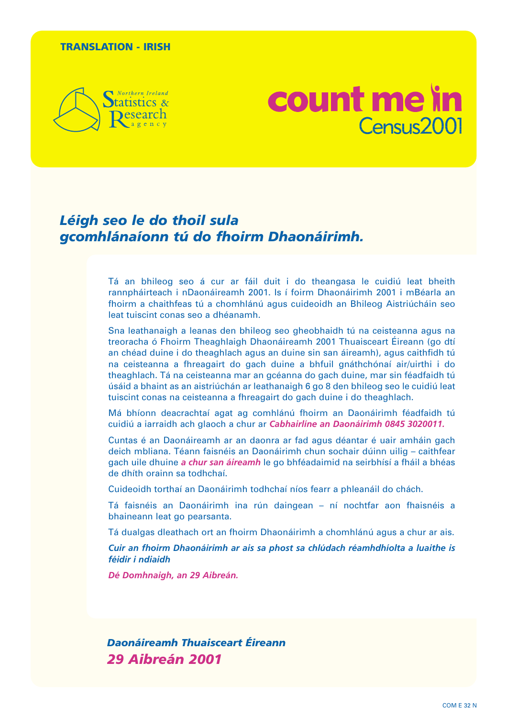# **TRANSLATION - IRISH**



# count me in Census2001

# *Léigh seo le do thoil sula gcomhlánaíonn tú do fhoirm Dhaonáirimh.*

Tá an bhileog seo á cur ar fáil duit i do theangasa le cuidiú leat bheith rannpháirteach i nDaonáireamh 2001. Is í foirm Dhaonáirimh 2001 i mBéarla an fhoirm a chaithfeas tú a chomhlánú agus cuideoidh an Bhileog Aistriúcháin seo leat tuiscint conas seo a dhéanamh.

Sna leathanaigh a leanas den bhileog seo gheobhaidh tú na ceisteanna agus na treoracha ó Fhoirm Theaghlaigh Dhaonáireamh 2001 Thuaisceart Éireann (go dtí an chéad duine i do theaghlach agus an duine sin san áireamh), agus caithfidh tú na ceisteanna a fhreagairt do gach duine a bhfuil gnáthchónaí air/uirthi i do theaghlach. Tá na ceisteanna mar an gcéanna do gach duine, mar sin féadfaidh tú úsáid a bhaint as an aistriúchán ar leathanaigh 6 go 8 den bhileog seo le cuidiú leat tuiscint conas na ceisteanna a fhreagairt do gach duine i do theaghlach.

Má bhíonn deacrachtaí agat ag comhlánú fhoirm an Daonáirimh féadfaidh tú cuidiú a iarraidh ach glaoch a chur ar *Cabhairlíne an Daonáirimh 0845 3020011.*

Cuntas é an Daonáireamh ar an daonra ar fad agus déantar é uair amháin gach deich mbliana. Téann faisnéis an Daonáirimh chun sochair dúinn uilig – caithfear gach uile dhuine *a chur san áireamh* le go bhféadaimid na seirbhísí a fháil a bhéas de dhíth orainn sa todhchaí.

Cuideoidh torthaí an Daonáirimh todhchaí níos fearr a phleanáil do chách.

Tá faisnéis an Daonáirimh ina rún daingean – ní nochtfar aon fhaisnéis a bhaineann leat go pearsanta.

Tá dualgas dleathach ort an fhoirm Dhaonáirimh a chomhlánú agus a chur ar ais.

*Cuir an fhoirm Dhaonáirimh ar ais sa phost sa chlúdach réamhdhíolta a luaithe is féidir i ndiaidh* 

*Dé Domhnaigh, an 29 Aibreán.*

*Daonáireamh Thuaisceart Éireann 29 Aibreán 2001*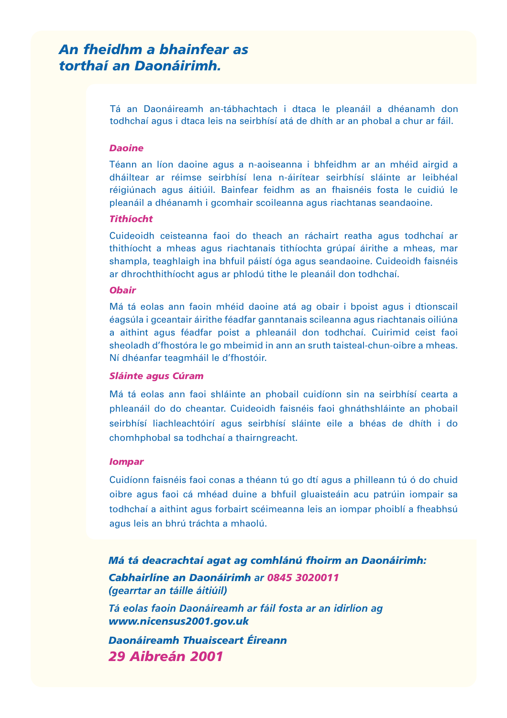# *An fheidhm a bhainfear as torthaí an Daonáirimh.*

Tá an Daonáireamh an-tábhachtach i dtaca le pleanáil a dhéanamh don todhchaí agus i dtaca leis na seirbhísí atá de dhíth ar an phobal a chur ar fáil.

### *Daoine*

Téann an líon daoine agus a n-aoiseanna i bhfeidhm ar an mhéid airgid a dháiltear ar réimse seirbhísí lena n-áirítear seirbhísí sláinte ar leibhéal réigiúnach agus áitiúil. Bainfear feidhm as an fhaisnéis fosta le cuidiú le pleanáil a dhéanamh i gcomhair scoileanna agus riachtanas seandaoine.

## *Tithíocht*

Cuideoidh ceisteanna faoi do theach an ráchairt reatha agus todhchaí ar thithíocht a mheas agus riachtanais tithíochta grúpaí áirithe a mheas, mar shampla, teaghlaigh ina bhfuil páistí óga agus seandaoine. Cuideoidh faisnéis ar dhrochthithíocht agus ar phlodú tithe le pleanáil don todhchaí.

### *Obair*

Má tá eolas ann faoin mhéid daoine atá ag obair i bpoist agus i dtionscail éagsúla i gceantair áirithe féadfar ganntanais scileanna agus riachtanais oiliúna a aithint agus féadfar poist a phleanáil don todhchaí. Cuirimid ceist faoi sheoladh d'fhostóra le go mbeimid in ann an sruth taisteal-chun-oibre a mheas. Ní dhéanfar teagmháil le d'fhostóir.

### *Sláinte agus Cúram*

Má tá eolas ann faoi shláinte an phobail cuidíonn sin na seirbhísí cearta a phleanáil do do cheantar. Cuideoidh faisnéis faoi ghnáthshláinte an phobail seirbhísí liachleachtóirí agus seirbhísí sláinte eile a bhéas de dhíth i do chomhphobal sa todhchaí a thairngreacht.

### *Iompar*

Cuidíonn faisnéis faoi conas a théann tú go dtí agus a philleann tú ó do chuid oibre agus faoi cá mhéad duine a bhfuil gluaisteáin acu patrúin iompair sa todhchaí a aithint agus forbairt scéimeanna leis an iompar phoiblí a fheabhsú agus leis an bhrú tráchta a mhaolú.

*Má tá deacrachtaí agat ag comhlánú fhoirm an Daonáirimh: Cabhairlíne an Daonáirimh ar 0845 3020011 (gearrtar an táille áitiúil) Tá eolas faoin Daonáireamh ar fáil fosta ar an idirlíon ag www.nicensus2001.gov.uk*

*Daonáireamh Thuaisceart Éireann 29 Aibreán 2001*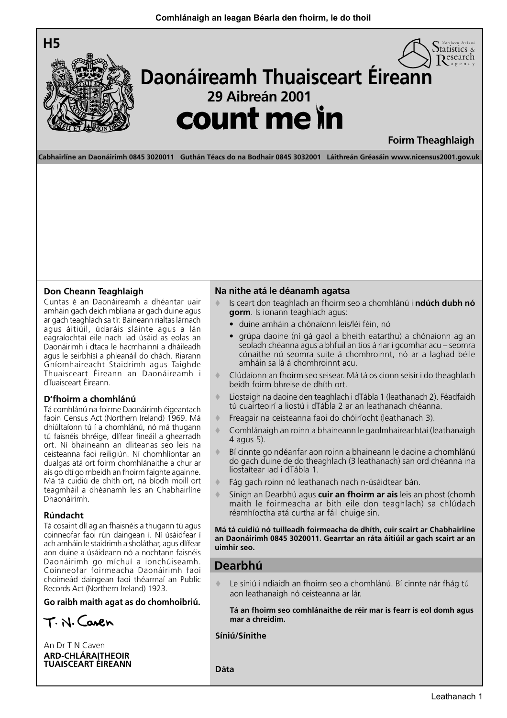



**Foirm Theaghlaigh**

**Cabhairlíne an Daonáirimh 0845 3020011 Guthán Téacs do na Bodhair 0845 3032001 Láithreán Gréasáin www.nicensus2001.gov.uk**

### **Don Cheann Teaghlaigh**

Cuntas é an Daonáireamh a dhéantar uair amháin gach deich mbliana ar gach duine agus ar gach teaghlach sa tír. Baineann rialtas lárnach agus áitiúil, údaráis sláinte agus a lán eagraíochtaí eile nach iad úsáid as eolas an Daonáirimh i dtaca le hacmhainní a dháileadh agus le seirbhísí a phleanáil do chách. Riarann Gníomhaireacht Staidrimh agus Taighde Thuaisceart Éireann an Daonáireamh i dTuaisceart Éireann.

### **D'fhoirm a chomhlánú**

Tá comhlánú na foirme Daonáirimh éigeantach faoin Census Act (Northern Ireland) 1969. Má dhiúltaíonn tú í a chomhlánú, nó má thugann tú faisnéis bhréige, dlífear fíneáil a ghearradh ort. Ní bhaineann an dliteanas seo leis na ceisteanna faoi reiligiún. Ní chomhlíontar an dualgas atá ort foirm chomhlánaithe a chur ar ais go dtí go mbeidh an fhoirm faighte againne. Má tá cuidiú de dhíth ort, ná bíodh moill ort teagmháil a dhéanamh leis an Chabhairlíne Dhaonáirimh.

### **Rúndacht**

Tá cosaint dlí ag an fhaisnéis a thugann tú agus coinneofar faoi rún daingean í. Ní úsáidfear í ach amháin le staidrimh a sholáthar, agus dlífear aon duine a úsáideann nó a nochtann faisnéis Daonáirimh go míchuí a ionchúiseamh. Coinneofar foirmeacha Daonáirimh faoi choimeád daingean faoi théarmaí an Public Records Act (Northern Ireland) 1923.

### **Go raibh maith agat as do chomhoibriú.**

T. N. Caren

An Dr T N Caven **ARD-CHLÁRAITHEOIR TUAISCEART ÉIREANN**

### **Na nithe atá le déanamh agatsa**

- Is ceart don teaghlach an fhoirm seo a chomhlánú i **ndúch dubh nó gorm**. Is ionann teaghlach agus:
	- duine amháin a chónaíonn leis/léi féin, nó
	- grúpa daoine (ní gá gaol a bheith eatarthu) a chónaíonn ag an seoladh chéanna agus a bhfuil an tíos á riar i gcomhar acu – seomra cónaithe nó seomra suite á chomhroinnt, nó ar a laghad béile amháin sa lá á chomhroinnt acu.
- Clúdaíonn an fhoirm seo seisear. Má tá os cionn seisir i do theaghlach beidh foirm bhreise de dhíth ort.
- Liostaigh na daoine den teaghlach i dTábla 1 (leathanach 2). Féadfaidh tú cuairteoirí a liostú i dTábla 2 ar an leathanach chéanna.
- Freagair na ceisteanna faoi do chóiríocht (leathanach 3).
- Comhlánaigh an roinn a bhaineann le gaolmhaireachtaí (leathanaigh 4 agus 5).
- Bí cinnte go ndéanfar aon roinn a bhaineann le daoine a chomhlánú do gach duine de do theaghlach (3 leathanach) san ord chéanna ina liostaítear iad i dTábla 1.
- Fág gach roinn nó leathanach nach n-úsáidtear bán.
- Sínigh an Dearbhú agus **cuir an fhoirm ar ais** leis an phost (chomh maith le foirmeacha ar bith eile don teaghlach) sa chlúdach réamhíoctha atá curtha ar fáil chuige sin.

**Má tá cuidiú nó tuilleadh foirmeacha de dhíth, cuir scairt ar Chabhairlíne an Daonáirimh 0845 3020011. Gearrtar an ráta áitiúil ar gach scairt ar an uimhir seo.**

### **Dearbhú**

 Le síniú i ndiaidh an fhoirm seo a chomhlánú. Bí cinnte nár fhág tú aon leathanaigh nó ceisteanna ar lár.

**Tá an fhoirm seo comhlánaithe de réir mar is fearr is eol domh agus mar a chreidim.**

**Síniú/Sínithe**

**Dáta**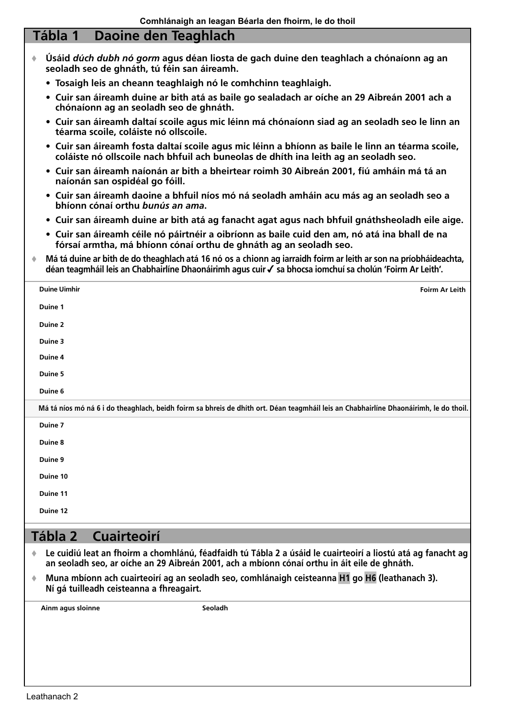**Comhlánaigh an leagan Béarla den fhoirm, le do thoil**

# **Tábla 1 Daoine den Teaghlach**

- **Úsáid** *dúch dubh nó gorm* **agus déan liosta de gach duine den teaghlach a chónaíonn ag an seoladh seo de ghnáth, tú féin san áireamh.**
	- **Tosaigh leis an cheann teaghlaigh nó le comhchinn teaghlaigh.**
	- **Cuir san áireamh duine ar bith atá as baile go sealadach ar oíche an 29 Aibreán 2001 ach a chónaíonn ag an seoladh seo de ghnáth.**
	- **Cuir san áireamh daltaí scoile agus mic léinn má chónaíonn siad ag an seoladh seo le linn an téarma scoile, coláiste nó ollscoile.**
	- **Cuir san áireamh fosta daltaí scoile agus mic léinn a bhíonn as baile le linn an téarma scoile, coláiste nó ollscoile nach bhfuil ach buneolas de dhíth ina leith ag an seoladh seo.**
	- **Cuir san áireamh naíonán ar bith a bheirtear roimh 30 Aibreán 2001, fiú amháin má tá an naíonán san ospidéal go fóill.**
	- **Cuir san áireamh daoine a bhfuil níos mó ná seoladh amháin acu más ag an seoladh seo a bhíonn cónaí orthu** *bunús an ama***.**
	- **Cuir san áireamh duine ar bith atá ag fanacht agat agus nach bhfuil gnáthsheoladh eile aige.**
	- **Cuir san áireamh céile nó páirtnéir a oibríonn as baile cuid den am, nó atá ina bhall de na fórsaí armtha, má bhíonn cónaí orthu de ghnáth ag an seoladh seo.**
- **Má tá duine ar bith de do theaghlach atá 16 nó os a chionn ag iarraidh foirm ar leith ar son na príobháideachta, déan teagmháil leis an Chabhairlíne Dhaonáirimh agus cuir** ✔ **sa bhocsa iomchuí sa cholún 'Foirm Ar Leith'.**

| <b>Duine Uimhir</b>                                                                                                                   | Foirm Ar Leith |
|---------------------------------------------------------------------------------------------------------------------------------------|----------------|
| Duine 1                                                                                                                               |                |
| Duine 2                                                                                                                               |                |
| Duine 3                                                                                                                               |                |
| Duine 4                                                                                                                               |                |
| Duine 5                                                                                                                               |                |
| Duine 6                                                                                                                               |                |
| Má tá níos mó ná 6 i do theaghlach, beidh foirm sa bhreis de dhíth ort. Déan teagmháil leis an Chabhairlíne Dhaonáirimh, le do thoil. |                |
| Duine 7                                                                                                                               |                |
| Duine 8                                                                                                                               |                |
| Duine 9                                                                                                                               |                |
| Duine 10                                                                                                                              |                |
| Duine 11                                                                                                                              |                |
| Duine 12                                                                                                                              |                |

# **Tábla 2 Cuairteoirí**

- **Le cuidiú leat an fhoirm a chomhlánú, féadfaidh tú Tábla 2 a úsáid le cuairteoirí a liostú atá ag fanacht ag an seoladh seo, ar oíche an 29 Aibreán 2001, ach a mbíonn cónaí orthu in áit eile de ghnáth.**
- **Muna mbíonn ach cuairteoirí ag an seoladh seo, comhlánaigh ceisteanna H1 go H6 (leathanach 3). Ní gá tuilleadh ceisteanna a fhreagairt.**

Ainm agus sloinne **business and a seoladh**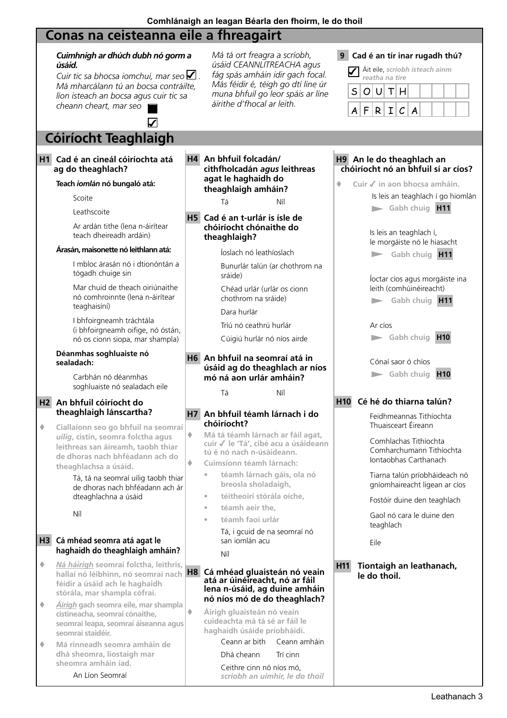*Má tá ort freagra a scríobh, úsáid CEANNLITREACHA agus fág spás amháin idir gach focal. Más féidir é, téigh go dtí líne úr muna bhfuil go leor spáis ar líne*

# **Conas na ceisteanna eile a fhreagairt**

### *Cuimhnigh ar dhúch dubh nó gorm a úsáid.*

*Cuir tic sa bhocsa iomchuí, mar seo*. *Má mharcálann tú an bocsa contráilte, líon isteach an bocsa agus cuir tic sa cheann cheart, mar seo*

# ✔

# **Cóiríocht Teaghlaigh**

### **H1 Cad é an cineál cóiríochta atá ag do theaghlach?**

### **Teach** *iomlán* **nó bungaló atá:**

Scoite

Leathscoite

Ar ardán tithe (lena n-áirítear teach dheireadh ardáin)

### **Árasán, maisonette nó leithlann atá:**

I mbloc árasán nó i dtionóntán a tógadh chuige sin

Mar chuid de theach oiriúnaithe nó comhroinnte (lena n-áirítear teaghaisíní)

I bhfoirgneamh tráchtála (i bhfoirgneamh oifige, nó óstán, nó os cionn siopa, mar shampla)

#### **Déanmhas soghluaiste nó sealadach:**

Carbhán nó déanmhas soghluaiste nó sealadach eile

## **H2 An bhfuil cóiríocht do theaghlaigh lánscartha?**

 **Ciallaíonn seo go bhfuil na seomraí** *uilig***, cistin, seomra folctha agus leithreas san áireamh, taobh thiar de dhoras nach bhféadann ach do theaghlachsa a úsáid.**

#### Tá, tá na seomraí uilig taobh thiar de dhoras nach bhféadann ach ár dteaghlachna a úsáid

Níl

## **H3 Cá mhéad seomra atá agat le haghaidh do theaghlaigh amháin?**

- *Ná háirigh* **seomraí folctha, leithris, hallaí nó léibhinn, nó seomraí nach féidir a úsáid ach le haghaidh stórála, mar shampla cófraí.**
- *Áirigh* **gach seomra eile, mar shampla cistineacha, seomraí cónaithe, seomraí leapa, seomraí áiseanna agus seomraí staidéir.**
- **Má rinneadh seomra amháin de dhá sheomra, liostaigh mar sheomra amháin iad.**

An Líon Seomraí

# **H4 An bhfuil folcadán/ cithfholcadán** *agus* **leithreas**

*áirithe d'fhocal ar leith.*

## **agat le haghaidh do theaghlaigh amháin?**

Tá Níl

### **H5 Cad é an t-urlár is ísle de chóiríocht chónaithe do theaghlaigh?**

Íoslach nó leathíoslach

Bunurlár talún (ar chothrom na sráide)

Chéad urlár (urlár os cionn chothrom na sráide)

Dara hurlár

Tríú nó ceathrú hurlár

Cúigiú hurlár nó níos airde

### **H6 An bhfuil na seomraí atá in úsáid ag do theaghlach ar níos mó ná aon urlár amháin?**

Tá Níl

## **H7 An bhfuil téamh lárnach i do chóiríocht?**

 **Má tá téamh lárnach ar fáil agat, cuir** ✔ **le 'Tá', cibé acu a úsáideann tú é nó nach n-úsáideann.**

**Cuimsíonn téamh lárnach:**

- **téamh lárnach gáis, ola nó breosla sholadaigh,**
- **téitheoirí stórála oíche,**
- **téamh aeir the,**
	- **téamh faoi urlár** Tá, i gcuid de na seomraí nó san iomlán acu

Níl

### **H8 Cá mhéad gluaisteán nó veain atá ar úinéireacht, nó ar fáil lena n-úsáid, ag duine amháin nó níos mó de do theaghlach?**

 **Áirigh gluaisteán nó veain cuideachta má tá sé ar fáil le haghaidh úsáide príobháidí.**

| Ceann ar bith Ceann amháin |  |
|----------------------------|--|
|----------------------------|--|

Dhá cheann Trí cinn

### Ceithre cinn nó níos mó, *scríobh an uimhir, le do thoil*

## **9 Cad é an tír inar rugadh thú?**

Áit eile, *scríobh isteach ainm* ✔ *reatha na tíre*

|  |  | S O U T H   |  |  |  |
|--|--|-------------|--|--|--|
|  |  | A F R I C A |  |  |  |

## **H9 An le do theaghlach an chóiríocht nó an bhfuil sí ar cíos?**

|     |                          |                                                                        |                | Cuir √ in aon bhocsa amháin.                                   |
|-----|--------------------------|------------------------------------------------------------------------|----------------|----------------------------------------------------------------|
|     |                          |                                                                        |                | Is leis an teaghlach í go hiomlán                              |
|     |                          | $\blacktriangleright$ Gabh chuig <b>H11</b>                            |                |                                                                |
|     | <b>Contract Contract</b> | Is leis an teaghlach í,                                                | Gabh chuig H11 | le morgáiste nó le hiasacht                                    |
|     |                          |                                                                        |                |                                                                |
|     |                          | leith (comhúinéireacht)<br>$\blacktriangleright$ Gabh chuig <b>H11</b> |                | loctar cíos agus morgáiste ina                                 |
|     |                          |                                                                        |                |                                                                |
|     | Ar cíos                  | $\blacktriangleright$ Gabh chuig                                       |                | <b>H10</b>                                                     |
|     |                          | Cónaí saor ó chíos                                                     |                |                                                                |
|     |                          | $\blacktriangleright$ Gabh chuig                                       |                | H <sub>10</sub>                                                |
|     |                          | H10 Cé hé do thiarna talún?                                            |                |                                                                |
|     |                          | Feidhmeannas Tithíochta<br>Thuaisceart Éireann                         |                |                                                                |
|     |                          | Comhlachas Tithíochta<br>Iontaobhas Carthanach                         |                | Comharchumann Tithíochta                                       |
|     |                          |                                                                        |                | Tiarna talún príobháideach nó<br>gníomhaireacht ligean ar cíos |
|     |                          |                                                                        |                | Fostóir duine den teaghlach                                    |
|     | teaghlach                | Gaol nó cara le duine den                                              |                |                                                                |
|     | Eile                     |                                                                        |                |                                                                |
| H11 | le do thoil.             |                                                                        |                | Tiontaigh an leathanach,                                       |
|     |                          |                                                                        |                |                                                                |
|     |                          |                                                                        |                |                                                                |
|     |                          |                                                                        |                |                                                                |
|     |                          |                                                                        |                |                                                                |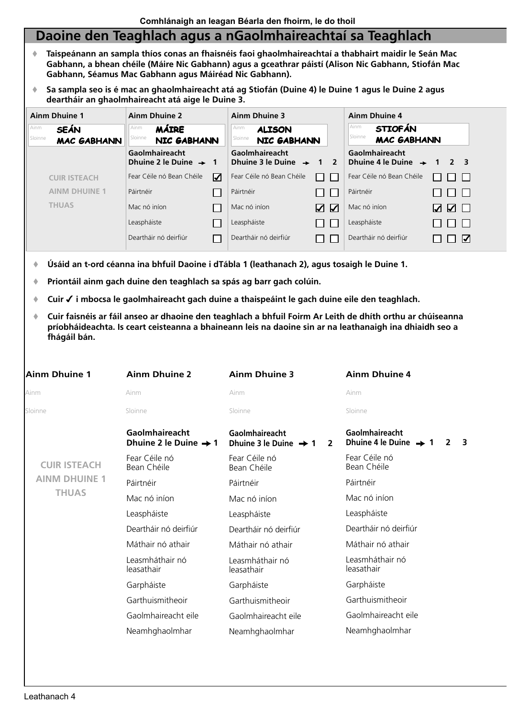# **Daoine den Teaghlach agus a nGaolmhaireachtaí sa Teaghlach**

- **Taispeánann an sampla thíos conas an fhaisnéis faoi ghaolmhaireachtaí a thabhairt maidir le Seán Mac Gabhann, a bhean chéile (Máire Nic Gabhann) agus a gceathrar páistí (Alison Nic Gabhann, Stiofán Mac Gabhann, Séamus Mac Gabhann agus Máiréad Nic Gabhann).**
- **Sa sampla seo is é mac an ghaolmhaireacht atá ag Stiofán (Duine 4) le Duine 1 agus le Duine 2 agus deartháir an ghaolmhaireacht atá aige le Duine 3.**

| <b>Ainm Dhuine 1</b>                                 | <b>Ainm Dhuine 2</b>                                  |   | <b>Ainm Dhuine 3</b>                                   |   |              | <b>Ainm Dhuine 4</b>                                        |   |    |                |
|------------------------------------------------------|-------------------------------------------------------|---|--------------------------------------------------------|---|--------------|-------------------------------------------------------------|---|----|----------------|
| Ainm<br><b>SEÁN</b><br>Sloinne<br><b>MAC GABHANN</b> | <b>MÁIRE</b><br>Ainm<br>Sloinne<br><b>NIC GABHANN</b> |   | Ainm<br><b>ALISON</b><br>Sloinne<br><b>NIC GABHANN</b> |   |              | l Ainm<br><b>STIOFÁN</b><br>Sloinne<br><b>MAC GABHANN</b>   |   |    |                |
|                                                      | Gaolmhaireacht<br>Dhuine 2 le Duine $\rightarrow$ 1   |   | Gaolmhaireacht<br>Dhuine 3 le Duine $\rightarrow$      |   | $\mathbf{z}$ | Gaolmhaireacht<br><b>Dhuine 4 le Duine</b><br>$\rightarrow$ |   |    | 2 <sup>3</sup> |
| <b>CUIR ISTEACH</b>                                  | Fear Céile nó Bean Chéile                             | ☑ | Fear Céile nó Bean Chéile                              |   |              | Fear Céile nó Bean Chéile                                   |   |    |                |
| <b>AINM DHUINE 1</b>                                 | Páirtnéir                                             |   | Páirtnéir                                              |   |              | Páirtnéir                                                   |   |    |                |
| <b>THUAS</b>                                         | Mạc nó iníon                                          |   | Mạc nó iníon                                           | М | $\sqrt{}$    | Mac nó iníon                                                | M | ☑□ |                |
|                                                      | Leaspháiste                                           |   | Leaspháiste                                            |   |              | Leaspháiste                                                 |   |    |                |
|                                                      | Deartháir nó deirfiúr                                 |   | Deartháir nó deirfiúr                                  |   |              | Deartháir nó deirfiúr                                       |   |    | M              |

- **Úsáid an t-ord céanna ina bhfuil Daoine i dTábla 1 (leathanach 2), agus tosaigh le Duine 1.**
- **Priontáil ainm gach duine den teaghlach sa spás ag barr gach colúin.**
- **Cuir** ✔ **i mbocsa le gaolmhaireacht gach duine a thaispeáint le gach duine eile den teaghlach.**
- **Cuir faisnéis ar fáil anseo ar dhaoine den teaghlach a bhfuil Foirm Ar Leith de dhíth orthu ar chúiseanna príobháideachta. Is ceart ceisteanna a bhaineann leis na daoine sin ar na leathanaigh ina dhiaidh seo a fhágáil bán.**

| <b>Ainm Dhuine 1</b> | <b>Ainm Dhuine 2</b>                                | <b>Ainm Dhuine 3</b>                                                  | <b>Ainm Dhuine 4</b>                                                                           |
|----------------------|-----------------------------------------------------|-----------------------------------------------------------------------|------------------------------------------------------------------------------------------------|
| Ainm                 | Ainm                                                | Ainm                                                                  | Ainm                                                                                           |
| Sloinne              | Sloinne                                             | Sloinne                                                               | Sloinne                                                                                        |
|                      | Gaolmhaireacht<br>Dhuine 2 le Duine $\rightarrow 1$ | Gaolmhaireacht<br>Dhuine 3 le Duine $\rightarrow 1$<br>$\overline{2}$ | Gaolmhaireacht<br>Dhuine 4 le Duine $\rightarrow 1$<br>$\overline{\mathbf{3}}$<br>$\mathbf{c}$ |
| <b>CUIR ISTEACH</b>  | Fear Céile nó<br>Bean Chéile                        | Fear Céile nó<br>Bean Chéile                                          | Fear Céile nó<br>Bean Chéile                                                                   |
| <b>AINM DHUINE 1</b> | Páirtnéir                                           | Páirtnéir                                                             | Páirtnéir                                                                                      |
| <b>THUAS</b>         | Mac nó iníon                                        | Mac nó iníon                                                          | Mac nó iníon                                                                                   |
|                      | Leaspháiste                                         | Leaspháiste                                                           | Leaspháiste                                                                                    |
|                      | Deartháir nó deirfiúr                               | Deartháir nó deirfiúr                                                 | Deartháir nó deirfiúr                                                                          |
|                      | Máthair nó athair                                   | Máthair nó athair                                                     | Máthair nó athair                                                                              |
|                      | Leasmháthair nó<br>leasathair                       | Leasmháthair nó<br>leasathair                                         | Leasmháthair nó<br>leasathair                                                                  |
|                      | Garpháiste                                          | Garpháiste                                                            | Garpháiste                                                                                     |
|                      | Garthuismitheoir                                    | Garthuismitheoir                                                      | Garthuismitheoir                                                                               |
|                      | Gaolmhaireacht eile                                 | Gaolmhaireacht eile                                                   | Gaolmhaireacht eile                                                                            |
|                      | Neamhghaolmhar                                      | Neamhghaolmhar                                                        | Neamhghaolmhar                                                                                 |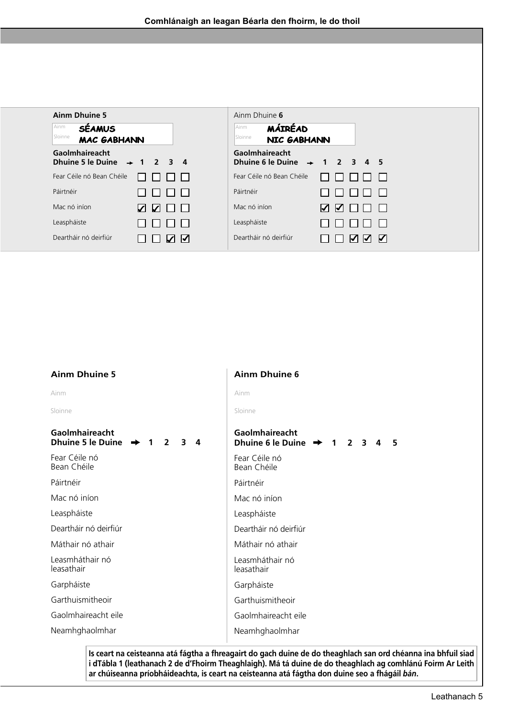| <b>Ainm Dhuine 5</b>                                                | Ainm Dhuine 6                                                         |
|---------------------------------------------------------------------|-----------------------------------------------------------------------|
| Ainm<br><b>SÉAMUS</b><br>Sloinne<br><b>MAC GABHANN</b>              | <b>MÁIRÉAD</b><br>Ainm<br>Sloinne<br><b>NIC GABHANN</b>               |
| Gaolmhaireacht<br><b>Dhuine 5 le Duine</b><br>$\rightarrow$ 1 2 3 4 | Gaolmhaireacht<br><b>Dhuine 6 le Duine</b><br>$\rightarrow$ 1 2 3 4 5 |
| Fear Céile nó Bean Chéile                                           | Fear Céile nó Bean Chéile<br>$\mathbf{L}$                             |
| Páirtnéir                                                           | Páirtnéir<br>$\Box$                                                   |
| Mạc nó iníon<br>☑<br>$\sqrt{ }$                                     | Mạc nó iníon<br>$\mathcal{U}$<br>$\mathcal{U}$<br>$\blacksquare$      |
| Leaspháiste                                                         | Leaspháiste<br>$\mathbf{L}$                                           |
| Deartháir nó deirfiúr<br>∨ ⊠                                        | Deartháir nó deirfiúr<br>N N<br>М                                     |

| <b>Ainm Dhuine 5</b>                                                   | <b>Ainm Dhuine 6</b>                                                        |
|------------------------------------------------------------------------|-----------------------------------------------------------------------------|
| Ainm                                                                   | Ainm                                                                        |
| Sloinne                                                                | Sloinne                                                                     |
| Gaolmhaireacht<br><b>Dhuine 5 le Duine</b><br>$\overline{2}$<br>4<br>3 | Gaolmhaireacht<br><b>Dhuine 6 le Duine</b><br>5<br>$\overline{2}$<br>3<br>1 |
| Fear Céile nó<br>Bean Chéile                                           | Fear Céile nó<br>Bean Chéile                                                |
| Páirtnéir                                                              | Páirtnéir                                                                   |
| Mac nó iníon                                                           | Mac nó iníon                                                                |
| Leaspháiste                                                            | Leaspháiste                                                                 |
| Deartháir nó deirfiúr                                                  | Deartháir nó deirfiúr                                                       |
| Máthair nó athair                                                      | Máthair nó athair                                                           |
| Leasmháthair nó<br>leasathair                                          | Leasmháthair nó<br>leasathair                                               |
| Garpháiste                                                             | Garpháiste                                                                  |
| Garthuismitheoir                                                       | Garthuismitheoir                                                            |
| Gaolmhaireacht eile                                                    | Gaolmhaireacht eile                                                         |
| Neamhghaolmhar                                                         | Neamhghaolmhar                                                              |

**Is ceart na ceisteanna atá fágtha a fhreagairt do gach duine de do theaghlach san ord chéanna ina bhfuil siad i dTábla 1 (leathanach 2 de d'Fhoirm Theaghlaigh). Má tá duine de do theaghlach ag comhlánú Foirm Ar Leith ar chúiseanna príobháideachta, is ceart na ceisteanna atá fágtha don duine seo a fhágáil** *bán***.**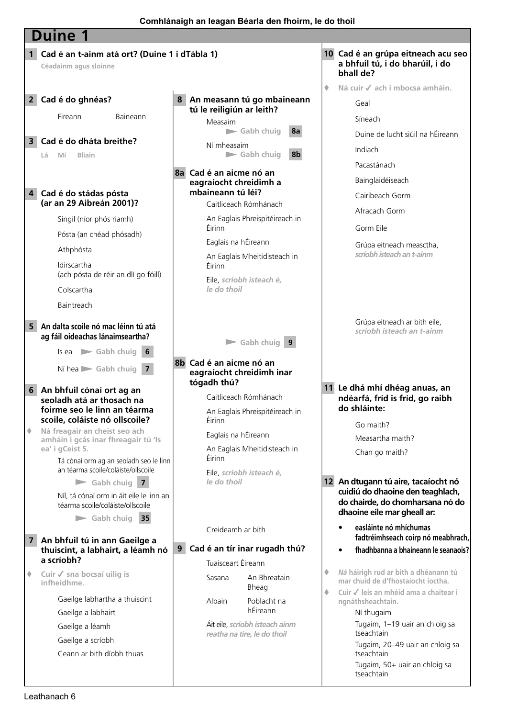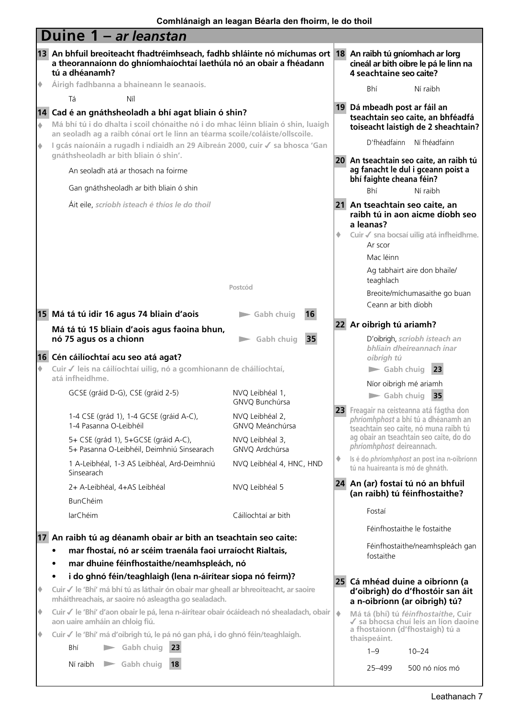|                                    | Duine 1 – ar leanstan                                                                                                                                                                                                |                                        |                                                                                                                                               |                                                                                                                                                                      |  |
|------------------------------------|----------------------------------------------------------------------------------------------------------------------------------------------------------------------------------------------------------------------|----------------------------------------|-----------------------------------------------------------------------------------------------------------------------------------------------|----------------------------------------------------------------------------------------------------------------------------------------------------------------------|--|
|                                    | 13 An bhfuil breoiteacht fhadtréimhseach, fadhb shláinte nó míchumas ort 18<br>a theorannaíonn do ghníomhaíochtaí laethúla nó an obair a fhéadann<br>tú a dhéanamh?                                                  |                                        | An raibh tú gníomhach ar lorg<br>cineál ar bith oibre le pá le linn na<br>4 seachtaine seo caite?                                             |                                                                                                                                                                      |  |
| ۰                                  | Áirigh fadhbanna a bhaineann le seanaois.                                                                                                                                                                            |                                        |                                                                                                                                               | Bhí<br>Ní raibh                                                                                                                                                      |  |
|                                    | Tá<br>Níl                                                                                                                                                                                                            |                                        |                                                                                                                                               | 19 Dá mbeadh post ar fáil an                                                                                                                                         |  |
| 14.<br>۰                           | Cad é an gnáthsheoladh a bhí agat bliain ó shin?<br>Má bhí tú i do dhalta i scoil chónaithe nó i do mhac léinn bliain ó shin, luaigh<br>an seoladh ag a raibh cónaí ort le linn an téarma scoile/coláiste/ollscoile. |                                        | tseachtain seo caite, an bhféadfá<br>toiseacht laistigh de 2 sheachtain?                                                                      |                                                                                                                                                                      |  |
| ۰                                  | I gcás naíonáin a rugadh i ndiaidh an 29 Aibreán 2000, cuir √ sa bhosca 'Gan<br>gnáthsheoladh ar bith bliain ó shin'.                                                                                                |                                        | D'fhéadfainn<br>Ní fhéadfainn                                                                                                                 |                                                                                                                                                                      |  |
|                                    | An seoladh atá ar thosach na foirme                                                                                                                                                                                  |                                        |                                                                                                                                               | 20 An tseachtain seo caite, an raibh tú<br>ag fanacht le dul i gceann poist a<br>bhí faighte cheana féin?                                                            |  |
|                                    | Gan gnáthsheoladh ar bith bliain ó shin                                                                                                                                                                              |                                        |                                                                                                                                               | Bhí<br>Ní raibh                                                                                                                                                      |  |
|                                    | Áit eile, scríobh isteach é thíos le do thoil                                                                                                                                                                        |                                        |                                                                                                                                               | 21 An tseachtain seo caite, an<br>raibh tú in aon aicme díobh seo<br>a leanas?                                                                                       |  |
|                                    |                                                                                                                                                                                                                      |                                        | ۰                                                                                                                                             | Cuir √ sna bocsaí uilig atá infheidhme.<br>Ar scor                                                                                                                   |  |
|                                    |                                                                                                                                                                                                                      |                                        |                                                                                                                                               | Mac léinn                                                                                                                                                            |  |
|                                    |                                                                                                                                                                                                                      |                                        |                                                                                                                                               | Ag tabhairt aire don bhaile/<br>teaghlach                                                                                                                            |  |
|                                    |                                                                                                                                                                                                                      | Postcód                                |                                                                                                                                               | Breoite/míchumasaithe go buan                                                                                                                                        |  |
|                                    | 15 Má tá tú idir 16 agus 74 bliain d'aois                                                                                                                                                                            | 16<br>$\blacktriangleright$ Gabh chuig |                                                                                                                                               | Ceann ar bith díobh                                                                                                                                                  |  |
|                                    | Má tá tú 15 bliain d'aois agus faoina bhun,                                                                                                                                                                          |                                        | 22 Ar oibrigh tú ariamh?                                                                                                                      |                                                                                                                                                                      |  |
|                                    | nó 75 agus os a chionn                                                                                                                                                                                               | 35<br>Gabh chuig                       |                                                                                                                                               | D'oibrigh, scríobh isteach an<br>bhliain dheireannach inar                                                                                                           |  |
| ۰                                  | 16 Cén cáilíochtaí acu seo atá agat?<br>Cuir √ leis na cáilíochtaí uilig, nó a gcomhionann de cháilíochtaí,                                                                                                          |                                        |                                                                                                                                               | oibrigh tú<br>$\blacktriangleright$ Gabh chuig<br>23                                                                                                                 |  |
|                                    | atá infheidhme.                                                                                                                                                                                                      |                                        |                                                                                                                                               | Níor oibrigh mé ariamh                                                                                                                                               |  |
|                                    | GCSE (gráid D-G), CSE (gráid 2-5)                                                                                                                                                                                    | NVQ Leibhéal 1,<br>GNVQ Bunchúrsa      |                                                                                                                                               | $\blacktriangleright$ Gabh chuig<br>35                                                                                                                               |  |
|                                    | 1-4 CSE (grád 1), 1-4 GCSE (gráid A-C),<br>1-4 Pasanna O-Leibhéil                                                                                                                                                    | NVQ Leibhéal 2,<br>GNVQ Meánchúrsa     |                                                                                                                                               | 23 Freagair na ceisteanna atá fágtha don<br>phríomhphost a bhí tú a dhéanamh an<br>tseachtain seo caite, nó muna raibh tú<br>ag obair an tseachtain seo caite, do do |  |
|                                    | 5+ CSE (grád 1), 5+GCSE (gráid A-C),<br>5+ Pasanna O-Leibhéil, Deimhniú Sinsearach                                                                                                                                   | NVQ Leibhéal 3,<br>GNVQ Ardchúrsa      |                                                                                                                                               | phríomhphost deireannach.<br>Is é do phríomhphost an post ina n-oibríonn                                                                                             |  |
|                                    | 1 A-Leibhéal, 1-3 AS Leibhéal, Ard-Deimhniú<br>Sinsearach                                                                                                                                                            | NVQ Leibhéal 4, HNC, HND               |                                                                                                                                               | tú na huaireanta is mó de ghnáth.                                                                                                                                    |  |
|                                    | 2+ A-Leibhéal, 4+AS Leibhéal<br>BunChéim                                                                                                                                                                             | NVQ Leibhéal 5                         |                                                                                                                                               | 24 An (ar) fostaí tú nó an bhfuil<br>(an raibh) tú féinfhostaithe?                                                                                                   |  |
|                                    | larChéim                                                                                                                                                                                                             | Cáilíochtaí ar bith                    |                                                                                                                                               | Fostaí                                                                                                                                                               |  |
|                                    | 17 An raibh tú ag déanamh obair ar bith an tseachtain seo caite:                                                                                                                                                     |                                        |                                                                                                                                               | Féinfhostaithe le fostaithe                                                                                                                                          |  |
|                                    | mar fhostaí, nó ar scéim traenála faoi urraíocht Rialtais,                                                                                                                                                           |                                        |                                                                                                                                               | Féinfhostaithe/neamhspleách gan                                                                                                                                      |  |
|                                    | mar dhuine féinfhostaithe/neamhspleách, nó                                                                                                                                                                           |                                        |                                                                                                                                               | fostaithe                                                                                                                                                            |  |
|                                    | i do ghnó féin/teaghlaigh (lena n-áirítear siopa nó feirm)?                                                                                                                                                          |                                        |                                                                                                                                               | 25 Cá mhéad duine a oibríonn (a                                                                                                                                      |  |
| I÷.                                | Cuir √ le 'Bhí' má bhí tú as láthair ón obair mar gheall ar bhreoiteacht, ar saoire<br>mháithreachais, ar saoire nó asleagtha go sealadach.                                                                          |                                        |                                                                                                                                               | d'oibrigh) do d'fhostóir san áit<br>a n-oibríonn (ar oibrigh) tú?                                                                                                    |  |
| $\blacklozenge$<br>$\blacklozenge$ | Cuir √ le 'Bhí' d'aon obair le pá, lena n-áirítear obair ócáideach nó shealadach, obair<br>aon uaire amháin an chloig fiú.<br>Cuir √ le 'Bhí' má d'oibrigh tú, le pá nó gan phá, i do ghnó féin/teaghlaigh.          |                                        | $\triangle$<br>Má tá (bhí) tú féinfhostaithe, Cuir<br>√ sa bhocsa chuí leis an líon daoine<br>a fhostaíonn (d'fhostaigh) tú a<br>thaispeáint. |                                                                                                                                                                      |  |
|                                    | Gabh chuig<br>Bhí<br>-23                                                                                                                                                                                             |                                        |                                                                                                                                               | $10 - 24$<br>$1 - 9$                                                                                                                                                 |  |
|                                    | $\blacktriangleright$ Gabh chuig<br>Ní raibh<br><b>18</b>                                                                                                                                                            |                                        |                                                                                                                                               | 25-499<br>500 nó níos mó                                                                                                                                             |  |